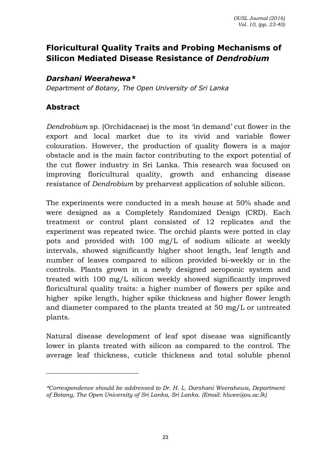# **Floricultural Quality Traits and Probing Mechanisms of Silicon Mediated Disease Resistance of** *Dendrobium*

#### *Darshani Weerahewa\**

*Department of Botany, The Open University of Sri Lanka* 

#### **Abstract**

*Dendrobium* sp. (Orchidaceae) is the most 'in demand' cut flower in the export and local market due to its vivid and variable flower colouration. However, the production of quality flowers is a major obstacle and is the main factor contributing to the export potential of the cut flower industry in Sri Lanka. This research was focused on improving floricultural quality, growth and enhancing disease resistance of *Dendrobium* by preharvest application of soluble silicon.

The experiments were conducted in a mesh house at 50% shade and were designed as a Completely Randomized Design (CRD). Each treatment or control plant consisted of 12 replicates and the experiment was repeated twice. The orchid plants were potted in clay pots and provided with 100 mg/L of sodium silicate at weekly intervals, showed significantly higher shoot length, leaf length and number of leaves compared to silicon provided bi-weekly or in the controls. Plants grown in a newly designed aeroponic system and treated with 100 mg/L silicon weekly showed significantly improved floricultural quality traits: a higher number of flowers per spike and higher spike length, higher spike thickness and higher flower length and diameter compared to the plants treated at 50 mg/L or untreated plants.

Natural disease development of leaf spot disease was significantly lower in plants treated with silicon as compared to the control. The average leaf thickness, cuticle thickness and total soluble phenol

*<sup>\*</sup>Correspondence should be addressed to Dr. H. L. Darshani Weerahewa, Department of Botany, The Open University of Sri Lanka, Sri Lanka. (Email: hlwee@ou.ac.lk)*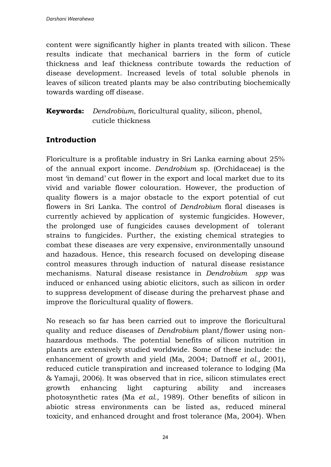content were significantly higher in plants treated with silicon. These results indicate that mechanical barriers in the form of cuticle thickness and leaf thickness contribute towards the reduction of disease development. Increased levels of total soluble phenols in leaves of silicon treated plants may be also contributing biochemically towards warding off disease.

#### **Keywords:** *Dendrobium*, floricultural quality, silicon, phenol, cuticle thickness

## **Introduction**

Floriculture is a profitable industry in Sri Lanka earning about 25% of the annual export income. *Dendrobium* sp. (Orchidaceae) is the most 'in demand' cut flower in the export and local market due to its vivid and variable flower colouration. However, the production of quality flowers is a major obstacle to the export potential of cut flowers in Sri Lanka. The control of *Dendrobium* floral diseases is currently achieved by application of systemic fungicides. However, the prolonged use of fungicides causes development of tolerant strains to fungicides. Further, the existing chemical strategies to combat these diseases are very expensive, environmentally unsound and hazadous. Hence, this research focused on developing disease control measures through induction of natural disease resistance mechanisms. Natural disease resistance in *Dendrobium spp* was induced or enhanced using abiotic elicitors, such as silicon in order to suppress development of disease during the preharvest phase and improve the floricultural quality of flowers.

No reseach so far has been carried out to improve the floricultural quality and reduce diseases of *Dendrobium* plant/flower using nonhazardous methods. The potential benefits of silicon nutrition in plants are extensively studied worldwide. Some of these include: the enhancement of growth and yield (Ma, 2004; Datnoff *et al.,* 2001), reduced cuticle transpiration and increased tolerance to lodging (Ma & Yamaji, 2006). It was observed that in rice, silicon stimulates erect growth enhancing light capturing ability and increases photosynthetic rates (Ma *et al.,* 1989). Other benefits of silicon in abiotic stress environments can be listed as, reduced mineral toxicity, and enhanced drought and frost tolerance (Ma, 2004). When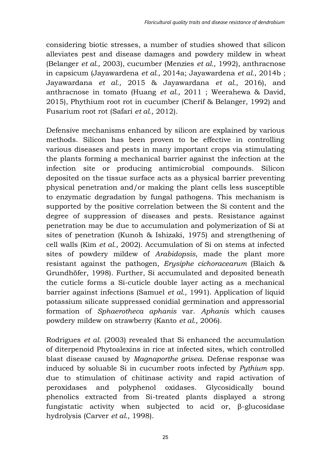considering biotic stresses, a number of studies showed that silicon alleviates pest and disease damages and powdery mildew in wheat (Belanger *et al.,* 2003), cucumber (Menzies *et al.,* 1992), anthracnose in capsicum (Jayawardena *et al.,* 2014a; Jayawardena *et al.,* 2014b ; Jayawardana *et al.,* 2015 & Jayawardana *et al.,* 2016), and anthracnose in tomato (Huang *et al.,* 2011 ; Weerahewa & David, 2015), Phythium root rot in cucumber (Cherif & Belanger, 1992) and Fusarium root rot (Safari *et al.,* 2012).

Defensive mechanisms enhanced by silicon are explained by various methods. Silicon has been proven to be effective in controlling various diseases and pests in many important crops via stimulating the plants forming a mechanical barrier against the infection at the infection site or producing antimicrobial compounds. Silicon deposited on the tissue surface acts as a physical barrier preventing physical penetration and/or making the plant cells less susceptible to enzymatic degradation by fungal pathogens. This mechanism is supported by the positive correlation between the Si content and the degree of suppression of diseases and pests. Resistance against penetration may be due to accumulation and polymerization of Si at sites of penetration (Kunoh & Ishizaki, 1975) and strengthening of cell walls (Kim *et al.,* 2002). Accumulation of Si on stems at infected sites of powdery mildew of *Arabidopsis*, made the plant more resistant against the pathogen, *Erysiphe cichoracearum* (Blaich & Grundhöfer, 1998). Further, Si accumulated and deposited beneath the cuticle forms a Si-cuticle double layer acting as a mechanical barrier against infections (Samuel *et al.,* 1991). Application of liquid potassium silicate suppressed conidial germination and appressorial formation of *Sphaerotheca aphanis* var. *Aphanis* which causes powdery mildew on strawberry (Kanto *et al.,* 2006).

Rodrigues *et al*. (2003) revealed that Si enhanced the accumulation of diterpenoid Phytoalexins in rice at infected sites, which controlled blast disease caused by *Magnaporthe grisea*. Defense response was induced by soluable Si in cucumber roots infected by *Pythium* spp. due to stimulation of chitinase activity and rapid activation of peroxidases and polyphenol oxidases. Glycosidically bound phenolics extracted from Si-treated plants displayed a strong fungistatic activity when subjected to acid or, β-glucosidase hydrolysis (Carver *et al.,* 1998).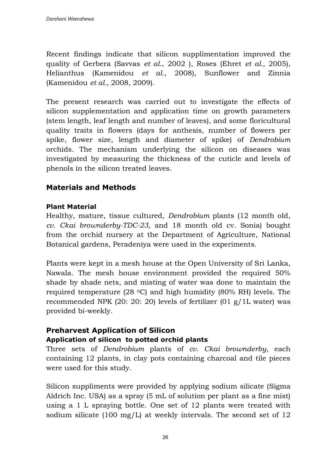Recent findings indicate that silicon supplimentation improved the quality of Gerbera (Savvas *et al*., 2002 ), Roses (Ehret *et al.,* 2005), Helianthus (Kamenidou *et al*., 2008), Sunflower and Zinnia (Kamenidou *et al.,* 2008, 2009).

The present research was carried out to investigate the effects of silicon supplementation and application time on growth parameters (stem length, leaf length and number of leaves), and some floricultural quality traits in flowers (days for anthesis, number of flowers per spike, flower size, length and diameter of spike) of *Dendrobium* orchids. The mechanism underlying the silicon on diseases was investigated by measuring the thickness of the cuticle and levels of phenols in the silicon treated leaves.

## **Materials and Methods**

#### **Plant Material**

Healthy, mature, tissue cultured, *Dendrobium* plants (12 month old, *cv. Ckai brownderby-TDC-23*, and 18 month old cv. Sonia) bought from the orchid nursery at the Department of Agriculture, National Botanical gardens, Peradeniya were used in the experiments.

Plants were kept in a mesh house at the Open University of Sri Lanka, Nawala. The mesh house environment provided the required 50% shade by shade nets, and misting of water was done to maintain the required temperature (28 °C) and high humidity (80% RH) levels. The recommended NPK (20: 20: 20) levels of fertilizer (01  $g/1L$  water) was provided bi-weekly.

# **Preharvest Application of Silicon**

#### **Application of silicon to potted orchid plants**

Three sets of *Dendrobium* plants of *cv. Ckai brownderby*, each containing 12 plants, in clay pots containing charcoal and tile pieces were used for this study.

Silicon suppliments were provided by applying sodium silicate (Sigma Aldrich Inc. USA) as a spray (5 mL of solution per plant as a fine mist) using a 1 L spraying bottle. One set of 12 plants were treated with sodium silicate (100 mg/L) at weekly intervals. The second set of  $12$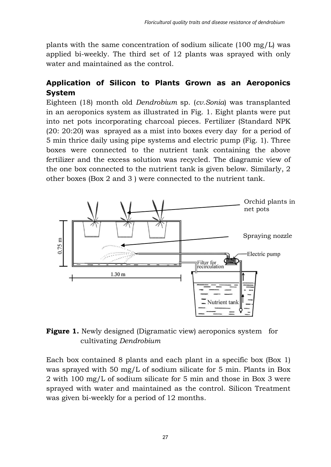plants with the same concentration of sodium silicate  $(100 \text{ mg/L})$  was applied bi-weekly. The third set of 12 plants was sprayed with only water and maintained as the control.

## **Application of Silicon to Plants Grown as an Aeroponics System**

Eighteen (18) month old *Dendrobium* sp. (*cv.Sonia*) was transplanted in an aeroponics system as illustrated in Fig. 1. Eight plants were put into net pots incorporating charcoal pieces. Fertilizer (Standard NPK (20: 20:20) was sprayed as a mist into boxes every day for a period of 5 min thrice daily using pipe systems and electric pump (Fig. 1). Three boxes were connected to the nutrient tank containing the above fertilizer and the excess solution was recycled. The diagramic view of the one box connected to the nutrient tank is given below. Similarly, 2 other boxes (Box 2 and 3 ) were connected to the nutrient tank.



**Figure 1.** Newly designed (Digramatic view) aeroponics system for cultivating *Dendrobium* 

Each box contained 8 plants and each plant in a specific box (Box 1) was sprayed with 50 mg/L of sodium silicate for 5 min. Plants in Box 2 with 100 mg/L of sodium silicate for 5 min and those in Box 3 were sprayed with water and maintained as the control. Silicon Treatment was given bi-weekly for a period of 12 months.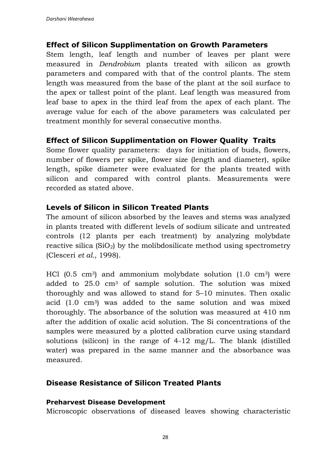#### **Effect of Silicon Supplimentation on Growth Parameters**

Stem length, leaf length and number of leaves per plant were measured in *Dendrobium* plants treated with silicon as growth parameters and compared with that of the control plants. The stem length was measured from the base of the plant at the soil surface to the apex or tallest point of the plant. Leaf length was measured from leaf base to apex in the third leaf from the apex of each plant. The average value for each of the above parameters was calculated per treatment monthly for several consecutive months.

#### **Effect of Silicon Supplimentation on Flower Quality Traits**

Some flower quality parameters: days for initiation of buds, flowers, number of flowers per spike, flower size (length and diameter), spike length, spike diameter were evaluated for the plants treated with silicon and compared with control plants. Measurements were recorded as stated above.

#### **Levels of Silicon in Silicon Treated Plants**

The amount of silicon absorbed by the leaves and stems was analyzed in plants treated with different levels of sodium silicate and untreated controls (12 plants per each treatment) by analyzing molybdate reactive silica  $(SiO<sub>2</sub>)$  by the molibdosilicate method using spectrometry (Clesceri *et al.,* 1998).

HCl  $(0.5 \text{ cm}^3)$  and ammonium molybdate solution  $(1.0 \text{ cm}^3)$  were added to  $25.0 \text{ cm}^3$  of sample solution. The solution was mixed thoroughly and was allowed to stand for 5–10 minutes. Then oxalic acid (1.0 cm3) was added to the same solution and was mixed thoroughly. The absorbance of the solution was measured at 410 nm after the addition of oxalic acid solution. The Si concentrations of the samples were measured by a plotted calibration curve using standard solutions (silicon) in the range of  $4-12 \text{ mg/L}$ . The blank (distilled water) was prepared in the same manner and the absorbance was measured.

#### **Disease Resistance of Silicon Treated Plants**

#### **Preharvest Disease Development**

Microscopic observations of diseased leaves showing characteristic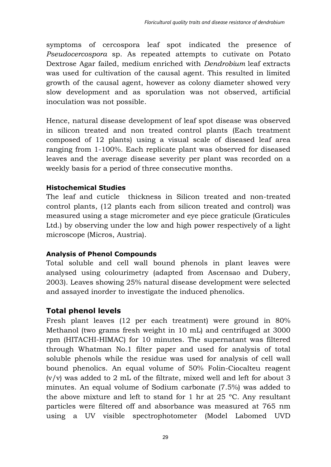symptoms of cercospora leaf spot indicated the presence of *Pseudocercospora* sp. As repeated attempts to cutivate on Potato Dextrose Agar failed, medium enriched with *Dendrobium* leaf extracts was used for cultivation of the causal agent. This resulted in limited growth of the causal agent, however as colony diameter showed very slow development and as sporulation was not observed, artificial inoculation was not possible.

Hence, natural disease development of leaf spot disease was observed in silicon treated and non treated control plants (Each treatment composed of 12 plants) using a visual scale of diseased leaf area ranging from 1-100%. Each replicate plant was observed for diseased leaves and the average disease severity per plant was recorded on a weekly basis for a period of three consecutive months.

#### **Histochemical Studies**

The leaf and cuticle thickness in Silicon treated and non-treated control plants, (12 plants each from silicon treated and control) was measured using a stage micrometer and eye piece graticule (Graticules Ltd.) by observing under the low and high power respectively of a light microscope (Micros, Austria).

#### **Analysis of Phenol Compounds**

Total soluble and cell wall bound phenols in plant leaves were analysed using colourimetry (adapted from Ascensao and Dubery, 2003). Leaves showing 25% natural disease development were selected and assayed inorder to investigate the induced phenolics.

## **Total phenol levels**

Fresh plant leaves (12 per each treatment) were ground in 80% Methanol (two grams fresh weight in 10 mL) and centrifuged at 3000 rpm (HITACHI-HIMAC) for 10 minutes. The supernatant was filtered through Whatman No.1 filter paper and used for analysis of total soluble phenols while the residue was used for analysis of cell wall bound phenolics. An equal volume of 50% Folin-Ciocalteu reagent  $(v/v)$  was added to 2 mL of the filtrate, mixed well and left for about 3 minutes. An equal volume of Sodium carbonate (7.5%) was added to the above mixture and left to stand for 1 hr at  $25^{\circ}$ C. Any resultant particles were filtered off and absorbance was measured at 765 nm using a UV visible spectrophotometer (Model Labomed UVD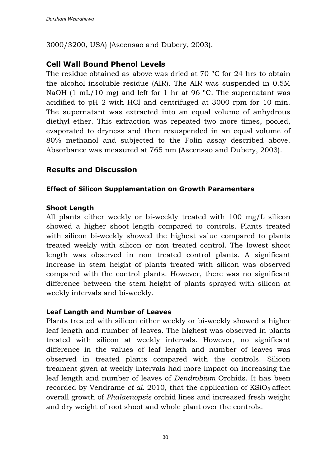3000/3200, USA) (Ascensao and Dubery, 2003).

## **Cell Wall Bound Phenol Levels**

The residue obtained as above was dried at  $70^{\circ}$ C for 24 hrs to obtain the alcohol insoluble residue (AIR). The AIR was suspended in 0.5M NaOH (1 mL/10 mg) and left for 1 hr at 96 °C. The supernatant was acidified to pH 2 with HCl and centrifuged at 3000 rpm for 10 min. The supernatant was extracted into an equal volume of anhydrous diethyl ether. This extraction was repeated two more times, pooled, evaporated to dryness and then resuspended in an equal volume of 80% methanol and subjected to the Folin assay described above. Absorbance was measured at 765 nm (Ascensao and Dubery, 2003).

#### **Results and Discussion**

#### **Effect of Silicon Supplementation on Growth Paramenters**

#### **Shoot Length**

All plants either weekly or bi-weekly treated with 100 mg/L silicon showed a higher shoot length compared to controls. Plants treated with silicon bi-weekly showed the highest value compared to plants treated weekly with silicon or non treated control. The lowest shoot length was observed in non treated control plants. A significant increase in stem height of plants treated with silicon was observed compared with the control plants. However, there was no significant difference between the stem height of plants sprayed with silicon at weekly intervals and bi-weekly.

#### **Leaf Length and Number of Leaves**

Plants treated with silicon either weekly or bi-weekly showed a higher leaf length and number of leaves. The highest was observed in plants treated with silicon at weekly intervals. However, no significant difference in the values of leaf length and number of leaves was observed in treated plants compared with the controls. Silicon treament given at weekly intervals had more impact on increasing the leaf length and number of leaves of *Dendrobium* Orchids. It has been recorded by Vendrame *et al.* 2010, that the application of  $KSiO<sub>3</sub>$  affect overall growth of *Phalaenopsis* orchid lines and increased fresh weight and dry weight of root shoot and whole plant over the controls.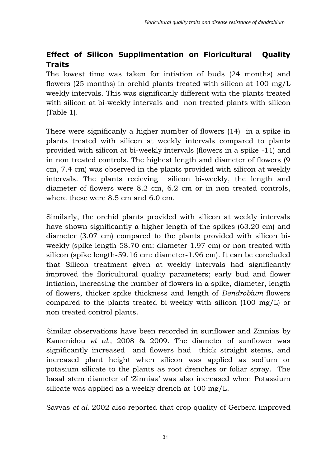# **Effect of Silicon Supplimentation on Floricultural Quality Traits**

The lowest time was taken for intiation of buds (24 months) and flowers (25 months) in orchid plants treated with silicon at 100 mg/L weekly intervals. This was significanly different with the plants treated with silicon at bi-weekly intervals and non treated plants with silicon (Table 1).

There were significanly a higher number of flowers (14) in a spike in plants treated with silicon at weekly intervals compared to plants provided with silicon at bi-weekly intervals (flowers in a spike -11) and in non treated controls. The highest length and diameter of flowers (9 cm, 7.4 cm) was observed in the plants provided with silicon at weekly intervals. The plants recieving silicon bi-weekly, the length and diameter of flowers were 8.2 cm, 6.2 cm or in non treated controls, where these were 8.5 cm and 6.0 cm.

Similarly, the orchid plants provided with silicon at weekly intervals have shown significantly a higher length of the spikes (63.20 cm) and diameter (3.07 cm) compared to the plants provided with silicon biweekly (spike length-58.70 cm: diameter-1.97 cm) or non treated with silicon (spike length-59.16 cm: diameter-1.96 cm). It can be concluded that Silicon treatment given at weekly intervals had significantly improved the floricultural quality parameters; early bud and flower intiation, increasing the number of flowers in a spike, diameter, length of flowers, thicker spike thickness and length of *Dendrobium* flowers compared to the plants treated bi-weekly with silicon (100 mg/L) or non treated control plants.

Similar observations have been recorded in sunflower and Zinnias by Kamenidou *et al.,* 2008 & 2009. The diameter of sunflower was significantly increased and flowers had thick straight stems, and increased plant height when silicon was applied as sodium or potasium silicate to the plants as root drenches or foliar spray. The basal stem diameter of 'Zinnias' was also increased when Potassium silicate was applied as a weekly drench at 100 mg/L.

Savvas *et al.* 2002 also reported that crop quality of Gerbera improved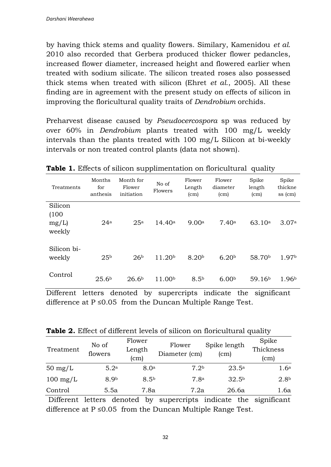by having thick stems and quality flowers. Similary, Kamenidou *et al.*  2010 also recorded that Gerbera produced thicker flower pedancles, increased flower diameter, increased height and flowered earlier when treated with sodium silicate. The silicon treated roses also possessed thick stems when treated with silicon (Ehret *et al*., 2005). All these finding are in agreement with the present study on effects of silicon in improving the floricultural quality traits of *Dendrobium* orchids.

Preharvest disease caused by *Pseudocercospora* sp was reduced by over 60% in *Dendrobium* plants treated with 100 mg/L weekly intervals than the plants treated with 100 mg/L Silicon at bi-weekly intervals or non treated control plants (data not shown).

| Treatments            | Months<br>for<br>anthesis | Month for<br>Flower<br>initiation | No of<br>Flowers   | Flower<br>Length<br>(cm) | Flower<br>diameter<br>(cm) | Spike<br>length<br>(cm) | Spike<br>thickne<br>ss (cm) |
|-----------------------|---------------------------|-----------------------------------|--------------------|--------------------------|----------------------------|-------------------------|-----------------------------|
| Silicon<br>(100)      |                           |                                   |                    |                          |                            |                         |                             |
| mg/L                  | 24a                       | 25a                               | 14.40a             | 9.00a                    | 7.40a                      | 63.10a                  | 3.07a                       |
| weekly                |                           |                                   |                    |                          |                            |                         |                             |
| Silicon bi-<br>weekly | 25 <sup>b</sup>           | 26 <sup>b</sup>                   | 11.20 <sup>b</sup> | 8.20 <sup>b</sup>        | 6.20 <sup>b</sup>          | 58.70 <sup>b</sup>      | 1.97b                       |
|                       |                           |                                   |                    |                          |                            |                         |                             |
| Control               | 25.6 <sup>b</sup>         | 26.6 <sup>b</sup>                 | 11.00 <sup>b</sup> | 8.5 <sup>b</sup>         | 6.00 <sup>b</sup>          | 59.16 <sup>b</sup>      | 1.96 <sup>b</sup>           |

**Table 1.** Effects of silicon supplimentation on floricultural quality

Different letters denoted by supercripts indicate the significant difference at  $P \leq 0.05$  from the Duncan Multiple Range Test.

Table 2. Effect of different levels of silicon on floricultural quality

| Treatment          | No of<br>flowers | Flower<br>Length<br>(cm) | Flower<br>Diameter (cm) | Spike length<br>(c <sub>m</sub> ) | Spike<br>Thickness<br>(cm) |
|--------------------|------------------|--------------------------|-------------------------|-----------------------------------|----------------------------|
| $50 \text{ mg/L}$  | 5.2 <sup>a</sup> | 8.0 <sup>a</sup>         | 7.2 <sup>b</sup>        | $23.5^{\rm a}$                    | 1.6 <sup>a</sup>           |
| $100 \text{ mg/L}$ | 8.9 <sub>b</sub> | 8.5 <sup>b</sup>         | 7.8a                    | 32.5 <sup>b</sup>                 | 2.8 <sup>b</sup>           |
| Control            | 5.5a             | 7.8a                     | 7.2a                    | 26.6a                             | 1.6a                       |

 Different letters denoted by supercripts indicate the significant difference at  $P \le 0.05$  from the Duncan Multiple Range Test.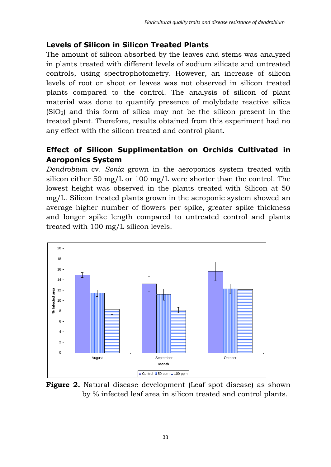## **Levels of Silicon in Silicon Treated Plants**

The amount of silicon absorbed by the leaves and stems was analyzed in plants treated with different levels of sodium silicate and untreated controls, using spectrophotometry. However, an increase of silicon levels of root or shoot or leaves was not observed in silicon treated plants compared to the control. The analysis of silicon of plant material was done to quantify presence of molybdate reactive silica  $(SiO<sub>2</sub>)$  and this form of silica may not be the silicon present in the treated plant. Therefore, results obtained from this experiment had no any effect with the silicon treated and control plant.

## **Effect of Silicon Supplimentation on Orchids Cultivated in Aeroponics System**

*Dendrobium* cv. *Sonia* grown in the aeroponics system treated with silicon either 50 mg/L or 100 mg/L were shorter than the control. The lowest height was observed in the plants treated with Silicon at 50 mg/L. Silicon treated plants grown in the aeroponic system showed an average higher number of flowers per spike, greater spike thickness and longer spike length compared to untreated control and plants treated with 100 mg/L silicon levels.



**Figure 2.** Natural disease development (Leaf spot disease) as shown by % infected leaf area in silicon treated and control plants.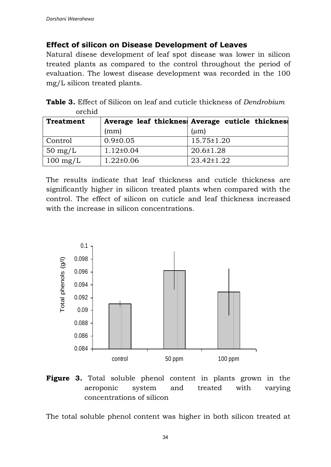#### **Effect of silicon on Disease Development of Leaves**

Natural disese development of leaf spot disease was lower in silicon treated plants as compared to the control throughout the period of evaluation. The lowest disease development was recorded in the 100 mg/L silicon treated plants.

| ,,,,,,,,,,         |                 |                                                  |
|--------------------|-----------------|--------------------------------------------------|
| <b>Treatment</b>   |                 | Average leaf thickness Average cuticle thickness |
|                    | (mm)            | $(\mu m)$                                        |
| Control            | $0.9 \pm 0.05$  | 15.75±1.20                                       |
| $50 \text{ mg/L}$  | $1.12 \pm 0.04$ | $20.6 \pm 1.28$                                  |
| $100 \text{ mg/L}$ | $1.22 \pm 0.06$ | $23.42 \pm 1.22$                                 |

**Table 3.** Effect of Silicon on leaf and cuticle thickness of *Dendrobium* orchid

The results indicate that leaf thickness and cuticle thickness are significantly higher in silicon treated plants when compared with the control. The effect of silicon on cuticle and leaf thickness increased with the increase in silicon concentrations.



**Figure 3.** Total soluble phenol content in plants grown in the aeroponic system and treated with varying concentrations of silicon

The total soluble phenol content was higher in both silicon treated at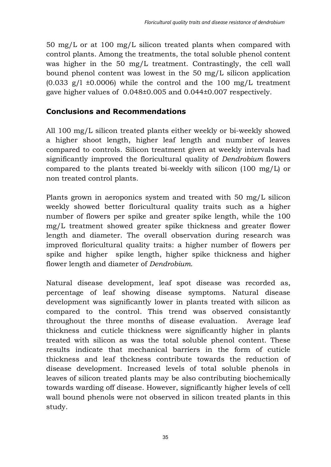50 mg/L or at 100 mg/L silicon treated plants when compared with control plants. Among the treatments, the total soluble phenol content was higher in the 50 mg/L treatment. Contrastingly, the cell wall bound phenol content was lowest in the 50 mg/L silicon application  $(0.033 \text{ g/l } \pm 0.0006)$  while the control and the 100 mg/L treatment gave higher values of 0.048±0.005 and 0.044±0.007 respectively.

## **Conclusions and Recommendations**

All 100 mg/L silicon treated plants either weekly or bi-weekly showed a higher shoot length, higher leaf length and number of leaves compared to controls. Silicon treatment given at weekly intervals had significantly improved the floricultural quality of *Dendrobium* flowers compared to the plants treated bi-weekly with silicon (100 mg/L) or non treated control plants.

Plants grown in aeroponics system and treated with 50 mg/L silicon weekly showed better floricultural quality traits such as a higher number of flowers per spike and greater spike length, while the 100 mg/L treatment showed greater spike thickness and greater flower length and diameter. The overall observation during research was improved floricultural quality traits: a higher number of flowers per spike and higher spike length, higher spike thickness and higher flower length and diameter of *Dendrobium*.

Natural disease development, leaf spot disease was recorded as, percentage of leaf showing disease symptoms. Natural disease development was significantly lower in plants treated with silicon as compared to the control. This trend was observed consistantly throughout the three months of disease evaluation. Average leaf thickness and cuticle thickness were significantly higher in plants treated with silicon as was the total soluble phenol content. These results indicate that mechanical barriers in the form of cuticle thickness and leaf thckness contribute towards the reduction of disease development. Increased levels of total soluble phenols in leaves of silicon treated plants may be also contributing biochemically towards warding off disease. However, significantly higher levels of cell wall bound phenols were not observed in silicon treated plants in this study.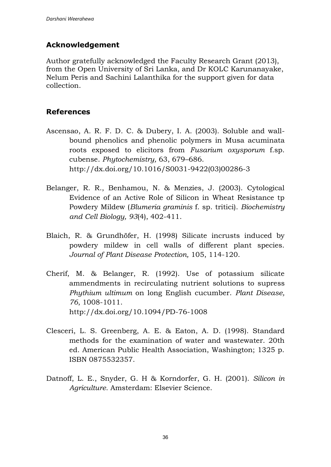## **Acknowledgement**

Author gratefully acknowledged the Faculty Research Grant (2013), from the Open University of Sri Lanka, and Dr KOLC Karunanayake, Nelum Peris and Sachini Lalanthika for the support given for data collection.

## **References**

- Ascensao, A. R. F. D. C. & Dubery, I. A. (2003). Soluble and wallbound phenolics and phenolic polymers in Musa acuminata roots exposed to elicitors from *Fusarium oxysporum* f.sp. cubense. *Phytochemistry,* 63, 679–686. [http://dx.doi.org/10.1016/S0031-9422\(03\)00286-3](http://dx.doi.org/10.1016/S0031-9422(03)00286-3)
- Belanger, R. R., Benhamou, N. & Menzies, J. (2003). Cytological Evidence of an Active Role of Silicon in Wheat Resistance tp Powdery Mildew (*Blumeria graminis* f. sp. tritici). *Biochemistry and Cell Biology, 93*(4), 402-411.
- Blaich, R. & Grundhöfer, H. (1998) Silicate incrusts induced by powdery mildew in cell walls of different plant species. *Journal of Plant Disease Protection,* 105, 114-120.
- Cherif, M. & Belanger, R. (1992). Use of potassium silicate ammendments in recirculating nutrient solutions to supress *Phythium ultimum* on long English cucumber. *Plant Disease, 76*, 1008-1011. <http://dx.doi.org/10.1094/PD-76-1008>
- Clesceri, L. S. Greenberg, A. E. & Eaton, A. D. (1998). Standard methods for the examination of water and wastewater. 20th ed. American Public Health Association, Washington; 1325 p. ISBN 0875532357.
- Datnoff, L. E., Snyder, G. H & Korndorfer, G. H. (2001). *Silicon in Agriculture.* Amsterdam: Elsevier Science.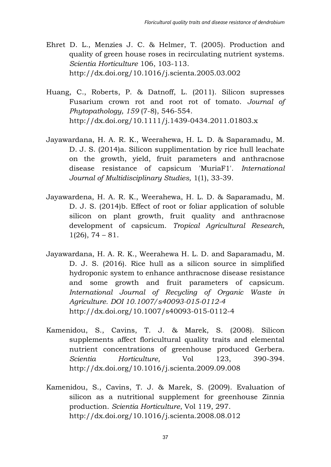- Ehret D. L., Menzies J. C. & Helmer, T. (2005). Production and quality of green house roses in recirculating nutrient systems. *Scientia Horticulture* 106, 103-113. <http://dx.doi.org/10.1016/j.scienta.2005.03.002>
- Huang, C., Roberts, P. & Datnoff, L. (2011). Silicon supresses Fusarium crown rot and root rot of tomato. *Journal of Phytopathology, 159* (7-8), 546-554. <http://dx.doi.org/10.1111/j.1439-0434.2011.01803.x>
- Jayawardana, H. A. R. K., Weerahewa, H. L. D. & Saparamadu, M. D. J. S. (2014)a. Silicon supplimentation by rice hull leachate on the growth, yield, fruit parameters and anthracnose disease resistance of capsicum 'MuriaF1'. *International Journal of Multidisciplinary Studies,* 1(1), 33-39.
- Jayawardena, H. A. R. K., Weerahewa, H. L. D. & Saparamadu, M. D. J. S. (2014)b. Effect of root or foliar application of soluble silicon on plant growth, fruit quality and anthracnose development of capsicum. *Tropical Agricultural Research,*   $1(26)$ , 74 – 81.
- Jayawardana, H. A. R. K., Weerahewa H. L. D. and Saparamadu, M. D. J. S. (2016). Rice hull as a silicon source in simplified hydroponic system to enhance anthracnose disease resistance and some growth and fruit parameters of capsicum. *International Journal of Recycling of Organic Waste in Agriculture. DOI 10.1007/s40093-015-0112-4* <http://dx.doi.org/10.1007/s40093-015-0112-4>
- Kamenidou, S., Cavins, T. J. & Marek, S. (2008). Silicon supplements affect floricultural quality traits and elemental nutrient concentrations of greenhouse produced Gerbera. *Scientia Horticulture,* Vol 123, 390-394. <http://dx.doi.org/10.1016/j.scienta.2009.09.008>
- Kamenidou, S., Cavins, T. J. & Marek, S. (2009). Evaluation of silicon as a nutritional supplement for greenhouse Zinnia production. *Scientia Horticulture*, Vol 119, 297. <http://dx.doi.org/10.1016/j.scienta.2008.08.012>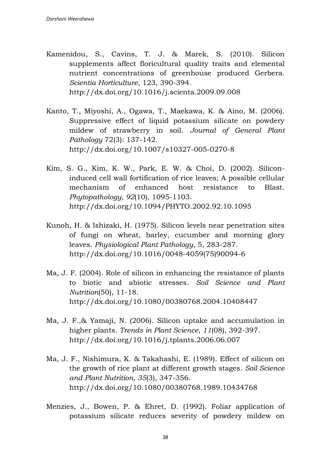- Kamenidou, S., Cavins, T. J. & Marek, S. (2010). Silicon supplements affect floricultural quality traits and elemental nutrient concentrations of greenhouse produced Gerbera. *Scientia Horticulture*, 123, 390-394. <http://dx.doi.org/10.1016/j.scienta.2009.09.008>
- Kanto, T., Miyoshi, A., Ogawa, T., Maekawa, K. & Aino, M. (2006). Suppressive effect of liquid potassium silicate on powdery mildew of strawberry in soil. *Journal of General Plant Pathology* 72(3): 137-142. <http://dx.doi.org/10.1007/s10327-005-0270-8>
- Kim, S. G., Kim, K. W., Park, E. W. & Choi, D. (2002). Siliconinduced cell wall fortification of rice leaves; A possible cellular mechanism of enhanced host resistance to Blast. *Phytopathology, 92*(10), 1095-1103. <http://dx.doi.org/10.1094/PHYTO.2002.92.10.1095>
- Kunoh, H. & Ishizaki, H. (1975). Silicon levels near penetration sites of fungi on wheat, barley, cucumber and morning glory leaves. *Physiological Plant Pathology*, 5, 283-287. [http://dx.doi.org/10.1016/0048-4059\(75\)90094-6](http://dx.doi.org/10.1016/0048-4059(75)90094-6)
- Ma, J. F. (2004). Role of silicon in enhancing the resistance of plants to biotic and abiotic stresses. *Soil Science and Plant Nutrition*(50), 11-18. <http://dx.doi.org/10.1080/00380768.2004.10408447>
- Ma, J. F.,& Yamaji, N. (2006). Silicon uptake and accumulation in higher plants. *Trends in Plant Science, 11*(08), 392-397. <http://dx.doi.org/10.1016/j.tplants.2006.06.007>
- Ma, J. F., Nishimura, K. & Takahashi, E. (1989). Effect of silicon on the growth of rice plant at different growth stages. *Soil Science and Plant Nutrition, 35*(3), 347-356. <http://dx.doi.org/10.1080/00380768.1989.10434768>
- Menzies, J., Bowen, P. & Ehret, D. (1992). Foliar application of potassium silicate reduces severity of powdery mildew on